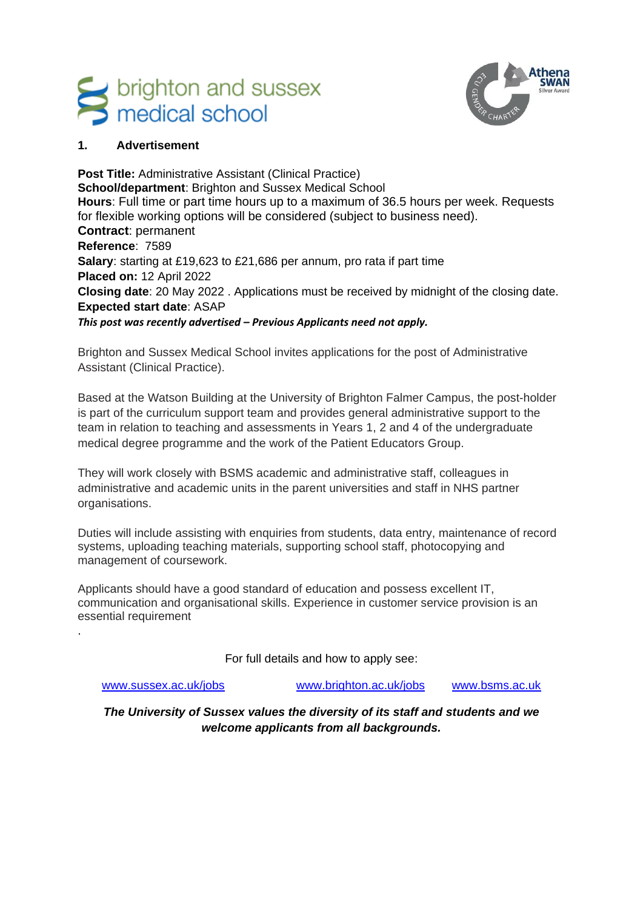# s brighton and sussex<br>medical school



# **1. Advertisement**

**Post Title:** Administrative Assistant (Clinical Practice) **School/department**: Brighton and Sussex Medical School **Hours**: Full time or part time hours up to a maximum of 36.5 hours per week. Requests for flexible working options will be considered (subject to business need). **Contract**: permanent **Reference**: 7589 **Salary**: starting at £19,623 to £21,686 per annum, pro rata if part time **Placed on:** 12 April 2022 **Closing date**: 20 May 2022 . Applications must be received by midnight of the closing date. **Expected start date**: ASAP *This post was recently advertised – Previous Applicants need not apply.*

Brighton and Sussex Medical School invites applications for the post of Administrative Assistant (Clinical Practice).

Based at the Watson Building at the University of Brighton Falmer Campus, the post-holder is part of the curriculum support team and provides general administrative support to the team in relation to teaching and assessments in Years 1, 2 and 4 of the undergraduate medical degree programme and the work of the Patient Educators Group.

They will work closely with BSMS academic and administrative staff, colleagues in administrative and academic units in the parent universities and staff in NHS partner organisations.

Duties will include assisting with enquiries from students, data entry, maintenance of record systems, uploading teaching materials, supporting school staff, photocopying and management of coursework.

Applicants should have a good standard of education and possess excellent IT, communication and organisational skills. Experience in customer service provision is an essential requirement

For full details and how to apply see:

.

[www.sussex.ac.uk/jobs](http://www.sussex.ac.uk/jobs) [www.brighton.ac.uk/jobs](http://www.brighton.ac.uk/jobs) [www.bsms.ac.uk](http://www.bsms.ac.uk/)

*The University of Sussex values the diversity of its staff and students and we welcome applicants from all backgrounds.*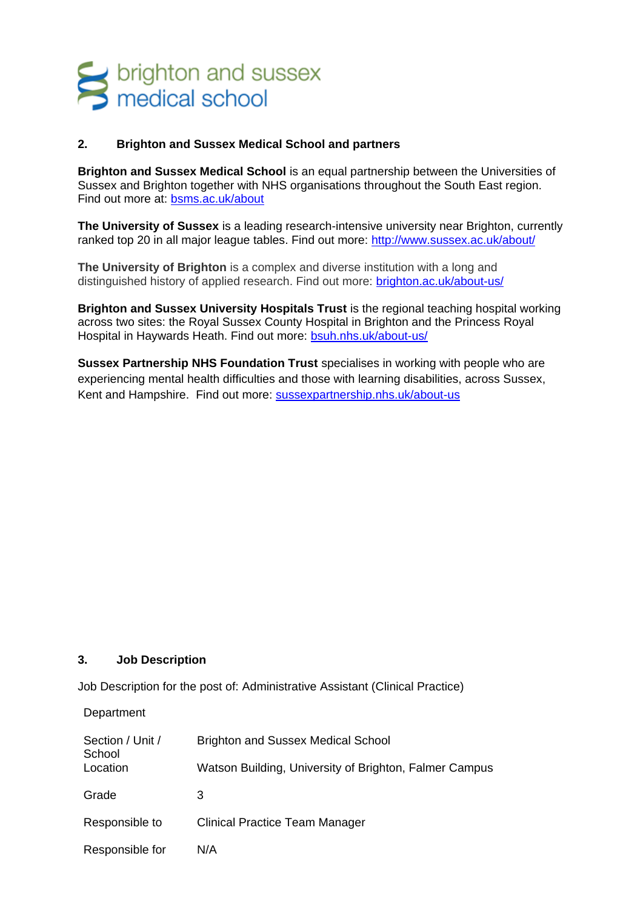# s brighton and sussex<br>S medical school

## **2. Brighton and Sussex Medical School and partners**

**Brighton and Sussex Medical School** is an equal partnership between the Universities of Sussex and Brighton together with NHS organisations throughout the South East region. Find out more at: [bsms.ac.uk/about](file:///C:/bsms6340/AppData/Local/Microsoft/Windows/Temporary%20Internet%20Files/bsms6340/AppData/Local/Microsoft/Windows/Temporary%20Internet%20Files/Content.Outlook/CTJFP6YN/bsms.ac.uk/about)

**The University of Sussex** is a leading research-intensive university near Brighton, currently ranked top 20 in all major league tables. Find out more:<http://www.sussex.ac.uk/about/>

**The University of Brighton** is a complex and diverse institution with a long and distinguished history of applied research. Find out more: [brighton.ac.uk/about-us/](file:///C:/bsms6340/AppData/Local/Microsoft/Windows/Temporary%20Internet%20Files/bsms6340/AppData/Local/Microsoft/Windows/Temporary%20Internet%20Files/Content.Outlook/CTJFP6YN/brighton.ac.uk/about-us/)

**Brighton and Sussex University Hospitals Trust** is the regional teaching hospital working across two sites: the [Royal Sussex County Hospital](http://www.bsuh.nhs.uk/hospitals/our-hospitals/royal-sussex-county-hospital/) in Brighton and the [Princess Royal](http://www.bsuh.nhs.uk/hospitals/our-hospitals/princess-royal-hospital/)  [Hospital](http://www.bsuh.nhs.uk/hospitals/our-hospitals/princess-royal-hospital/) in Haywards Heath. Find out more: [bsuh.nhs.uk/about-us/](file:///C:/bsms6340/AppData/Local/Microsoft/Windows/Temporary%20Internet%20Files/bsms6340/AppData/Local/Microsoft/Windows/Temporary%20Internet%20Files/Content.Outlook/CTJFP6YN/bsuh.nhs.uk/about-us/)

**Sussex Partnership NHS Foundation Trust** specialises in working with people who are experiencing mental health difficulties and those with learning disabilities, across Sussex, Kent and Hampshire. Find out more: [sussexpartnership.nhs.uk/about-us](file:///C:/bsms6340/AppData/Local/Microsoft/Windows/Temporary%20Internet%20Files/bsms6340/AppData/Local/Microsoft/Windows/Temporary%20Internet%20Files/Content.Outlook/CTJFP6YN/sussexpartnership.nhs.uk/about-us)

#### **3. Job Description**

Job Description for the post of: Administrative Assistant (Clinical Practice)

**Department** 

| Section / Unit /<br>School | <b>Brighton and Sussex Medical School</b>              |
|----------------------------|--------------------------------------------------------|
| Location                   | Watson Building, University of Brighton, Falmer Campus |
| Grade                      | З                                                      |
| Responsible to             | Clinical Practice Team Manager                         |
| Responsible for            | N/A                                                    |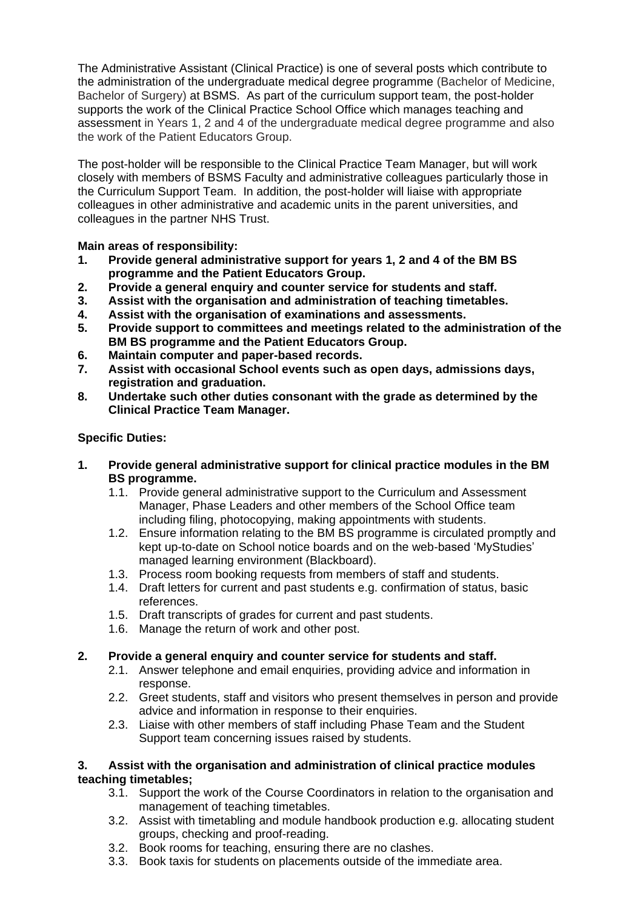The Administrative Assistant (Clinical Practice) is one of several posts which contribute to the administration of the undergraduate medical degree programme (Bachelor of Medicine, Bachelor of Surgery) at BSMS. As part of the curriculum support team, the post-holder supports the work of the Clinical Practice School Office which manages teaching and assessment in Years 1, 2 and 4 of the undergraduate medical degree programme and also the work of the Patient Educators Group.

The post-holder will be responsible to the Clinical Practice Team Manager, but will work closely with members of BSMS Faculty and administrative colleagues particularly those in the Curriculum Support Team. In addition, the post-holder will liaise with appropriate colleagues in other administrative and academic units in the parent universities, and colleagues in the partner NHS Trust.

**Main areas of responsibility:**

- **1. Provide general administrative support for years 1, 2 and 4 of the BM BS programme and the Patient Educators Group.**
- **2. Provide a general enquiry and counter service for students and staff.**
- **3. Assist with the organisation and administration of teaching timetables.**
- **4. Assist with the organisation of examinations and assessments.**
- **5. Provide support to committees and meetings related to the administration of the BM BS programme and the Patient Educators Group.**
- **6. Maintain computer and paper-based records.**
- **7. Assist with occasional School events such as open days, admissions days, registration and graduation.**
- **8. Undertake such other duties consonant with the grade as determined by the Clinical Practice Team Manager.**

# **Specific Duties:**

- **1. Provide general administrative support for clinical practice modules in the BM BS programme.**
	- 1.1. Provide general administrative support to the Curriculum and Assessment Manager, Phase Leaders and other members of the School Office team including filing, photocopying, making appointments with students.
	- 1.2. Ensure information relating to the BM BS programme is circulated promptly and kept up-to-date on School notice boards and on the web-based 'MyStudies' managed learning environment (Blackboard).
	- 1.3. Process room booking requests from members of staff and students.
	- 1.4. Draft letters for current and past students e.g. confirmation of status, basic references.
	- 1.5. Draft transcripts of grades for current and past students.
	- 1.6. Manage the return of work and other post.

# **2. Provide a general enquiry and counter service for students and staff.**

- 2.1. Answer telephone and email enquiries, providing advice and information in response.
- 2.2. Greet students, staff and visitors who present themselves in person and provide advice and information in response to their enquiries.
- 2.3. Liaise with other members of staff including Phase Team and the Student Support team concerning issues raised by students.

## **3. Assist with the organisation and administration of clinical practice modules teaching timetables;**

- 3.1. Support the work of the Course Coordinators in relation to the organisation and management of teaching timetables.
- 3.2. Assist with timetabling and module handbook production e.g. allocating student groups, checking and proof-reading.
- 3.2. Book rooms for teaching, ensuring there are no clashes.
- 3.3. Book taxis for students on placements outside of the immediate area.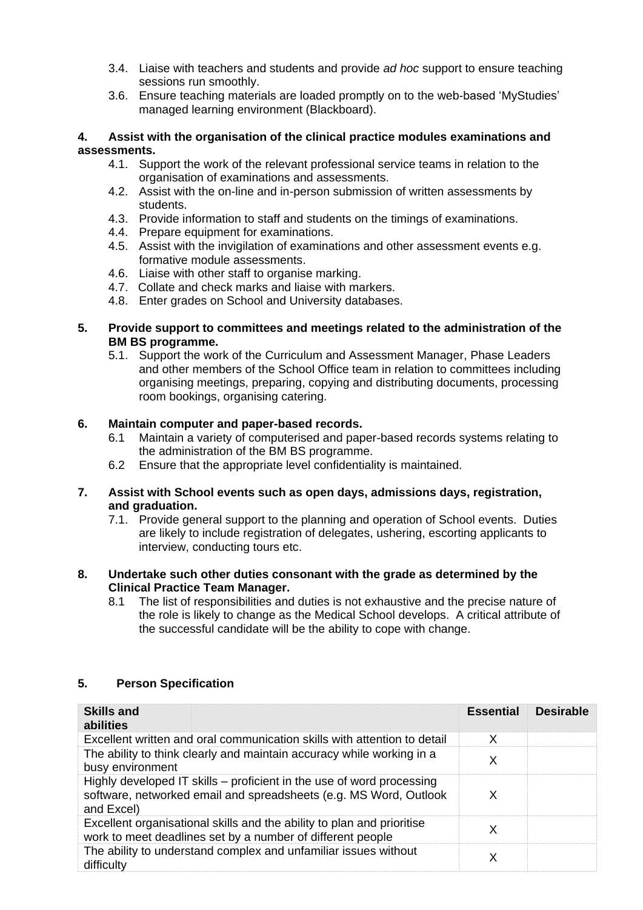- 3.4. Liaise with teachers and students and provide *ad hoc* support to ensure teaching sessions run smoothly.
- 3.6. Ensure teaching materials are loaded promptly on to the web-based 'MyStudies' managed learning environment (Blackboard).

#### **4. Assist with the organisation of the clinical practice modules examinations and assessments.**

- 4.1. Support the work of the relevant professional service teams in relation to the organisation of examinations and assessments.
- 4.2. Assist with the on-line and in-person submission of written assessments by students.
- 4.3. Provide information to staff and students on the timings of examinations.
- 4.4. Prepare equipment for examinations.
- 4.5. Assist with the invigilation of examinations and other assessment events e.g. formative module assessments.
- 4.6. Liaise with other staff to organise marking.
- 4.7. Collate and check marks and liaise with markers.
- 4.8. Enter grades on School and University databases.

#### **5. Provide support to committees and meetings related to the administration of the BM BS programme.**

5.1. Support the work of the Curriculum and Assessment Manager, Phase Leaders and other members of the School Office team in relation to committees including organising meetings, preparing, copying and distributing documents, processing room bookings, organising catering.

# **6. Maintain computer and paper-based records.**

- 6.1 Maintain a variety of computerised and paper-based records systems relating to the administration of the BM BS programme.
- 6.2 Ensure that the appropriate level confidentiality is maintained.

#### **7. Assist with School events such as open days, admissions days, registration, and graduation.**

7.1. Provide general support to the planning and operation of School events. Duties are likely to include registration of delegates, ushering, escorting applicants to interview, conducting tours etc.

#### **8. Undertake such other duties consonant with the grade as determined by the Clinical Practice Team Manager.**

8.1 The list of responsibilities and duties is not exhaustive and the precise nature of the role is likely to change as the Medical School develops. A critical attribute of the successful candidate will be the ability to cope with change.

| <b>Skills and</b><br>abilities                                                                                                                           | <b>Essential</b> | <b>Desirable</b> |
|----------------------------------------------------------------------------------------------------------------------------------------------------------|------------------|------------------|
| Excellent written and oral communication skills with attention to detail                                                                                 | X                |                  |
| The ability to think clearly and maintain accuracy while working in a<br>busy environment                                                                | X                |                  |
| Highly developed IT skills – proficient in the use of word processing<br>software, networked email and spreadsheets (e.g. MS Word, Outlook<br>and Excel) | X                |                  |
| Excellent organisational skills and the ability to plan and prioritise<br>work to meet deadlines set by a number of different people                     | Х                |                  |
| The ability to understand complex and unfamiliar issues without<br>difficulty                                                                            | Х                |                  |

## **5. Person Specification**